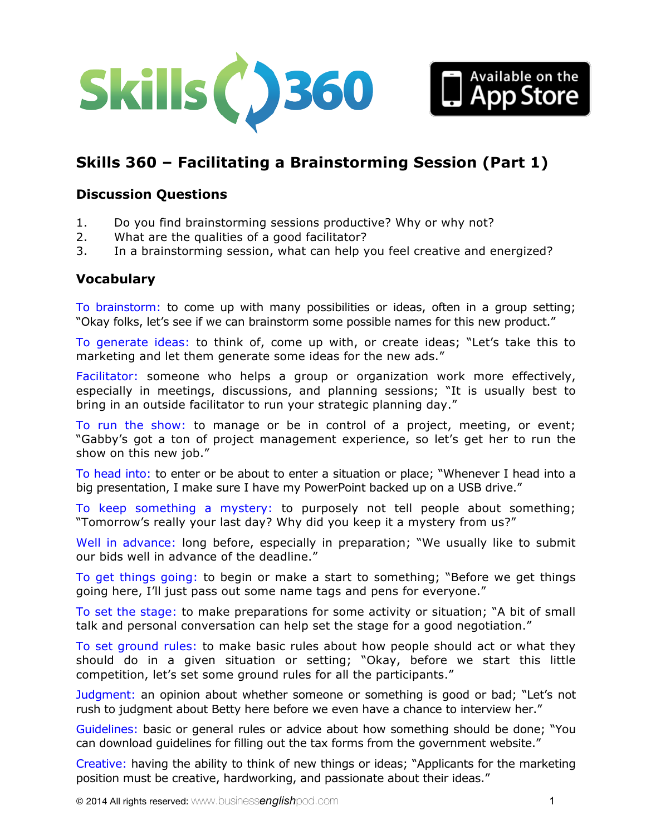



## **Discussion Questions**

- 1. Do you find brainstorming sessions productive? Why or why not?
- 2. What are the qualities of a good facilitator?
- 3. In a brainstorming session, what can help you feel creative and energized?

#### **Vocabulary**

To brainstorm: to come up with many possibilities or ideas, often in a group setting; "Okay folks, let's see if we can brainstorm some possible names for this new product."

To generate ideas: to think of, come up with, or create ideas; "Let's take this to marketing and let them generate some ideas for the new ads."

Facilitator: someone who helps a group or organization work more effectively, especially in meetings, discussions, and planning sessions; "It is usually best to bring in an outside facilitator to run your strategic planning day."

To run the show: to manage or be in control of a project, meeting, or event; "Gabby's got a ton of project management experience, so let's get her to run the show on this new job."

To head into: to enter or be about to enter a situation or place; "Whenever I head into a big presentation, I make sure I have my PowerPoint backed up on a USB drive."

To keep something a mystery: to purposely not tell people about something; "Tomorrow's really your last day? Why did you keep it a mystery from us?"

Well in advance: long before, especially in preparation; "We usually like to submit our bids well in advance of the deadline."

To get things going: to begin or make a start to something; "Before we get things going here, I'll just pass out some name tags and pens for everyone."

To set the stage: to make preparations for some activity or situation; "A bit of small talk and personal conversation can help set the stage for a good negotiation."

To set ground rules: to make basic rules about how people should act or what they should do in a given situation or setting; "Okay, before we start this little competition, let's set some ground rules for all the participants."

Judgment: an opinion about whether someone or something is good or bad; "Let's not rush to judgment about Betty here before we even have a chance to interview her."

Guidelines: basic or general rules or advice about how something should be done; "You can download guidelines for filling out the tax forms from the government website."

Creative: having the ability to think of new things or ideas; "Applicants for the marketing position must be creative, hardworking, and passionate about their ideas."

Available on the<br> **App Store**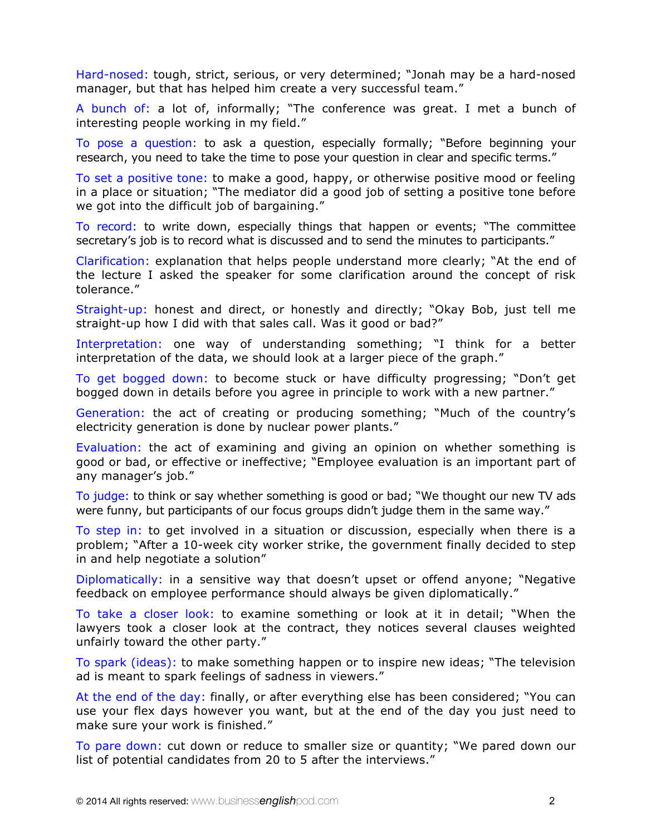Hard-nosed: tough, strict, serious, or very determined; "Jonah may be a hard-nosed manager, but that has helped him create a very successful team."

A bunch of: a lot of, informally; "The conference was great. I met a bunch of interesting people working in my field."

To pose a question: to ask a question, especially formally; "Before beginning your research, you need to take the time to pose your question in clear and specific terms."

To set a positive tone: to make a good, happy, or otherwise positive mood or feeling in a place or situation; "The mediator did a good job of setting a positive tone before we got into the difficult job of bargaining."

To record: to write down, especially things that happen or events; "The committee secretary's job is to record what is discussed and to send the minutes to participants."

Clarification: explanation that helps people understand more clearly; "At the end of the lecture I asked the speaker for some clarification around the concept of risk tolerance."

Straight-up: honest and direct, or honestly and directly; "Okay Bob, just tell me straight-up how I did with that sales call. Was it good or bad?"

Interpretation: one way of understanding something; "I think for a better interpretation of the data, we should look at a larger piece of the graph."

To get bogged down: to become stuck or have difficulty progressing; "Don't get bogged down in details before you agree in principle to work with a new partner."

Generation: the act of creating or producing something; "Much of the country's electricity generation is done by nuclear power plants."

Evaluation: the act of examining and giving an opinion on whether something is good or bad, or effective or ineffective; "Employee evaluation is an important part of any manager's job."

To judge: to think or say whether something is good or bad; "We thought our new TV ads were funny, but participants of our focus groups didn't judge them in the same way."

To step in: to get involved in a situation or discussion, especially when there is a problem; "After a 10-week city worker strike, the government finally decided to step in and help negotiate a solution"

Diplomatically: in a sensitive way that doesn't upset or offend anyone; "Negative feedback on employee performance should always be given diplomatically."

To take a closer look: to examine something or look at it in detail; "When the lawyers took a closer look at the contract, they notices several clauses weighted unfairly toward the other party."

To spark (ideas): to make something happen or to inspire new ideas; "The television ad is meant to spark feelings of sadness in viewers."

At the end of the day: finally, or after everything else has been considered; "You can use your flex days however you want, but at the end of the day you just need to make sure your work is finished."

To pare down: cut down or reduce to smaller size or quantity; "We pared down our list of potential candidates from 20 to 5 after the interviews."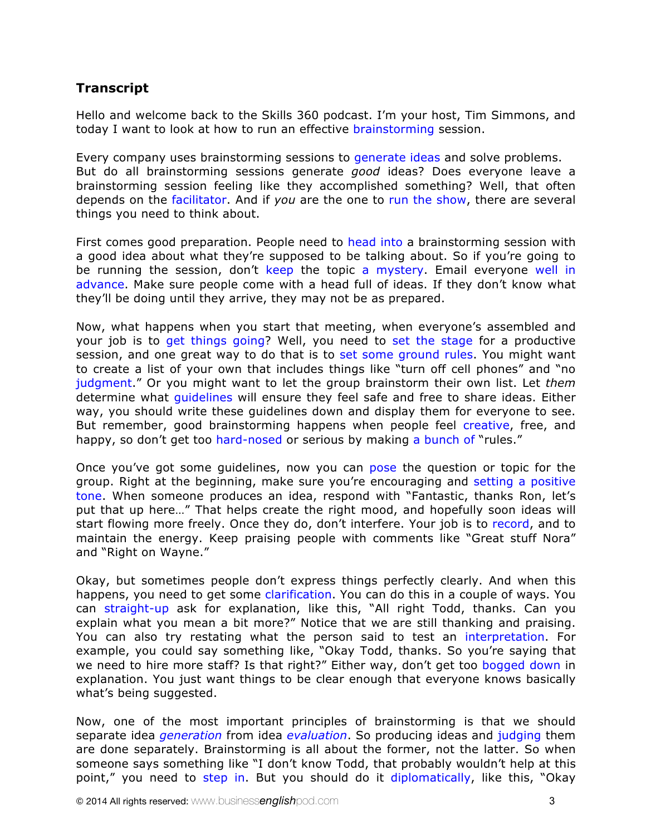# **Transcript**

Hello and welcome back to the Skills 360 podcast. I'm your host, Tim Simmons, and today I want to look at how to run an effective brainstorming session.

Every company uses brainstorming sessions to generate ideas and solve problems. But do all brainstorming sessions generate *good* ideas? Does everyone leave a brainstorming session feeling like they accomplished something? Well, that often depends on the facilitator. And if *you* are the one to run the show, there are several things you need to think about.

First comes good preparation. People need to head into a brainstorming session with a good idea about what they're supposed to be talking about. So if you're going to be running the session, don't keep the topic a mystery. Email everyone well in advance. Make sure people come with a head full of ideas. If they don't know what they'll be doing until they arrive, they may not be as prepared.

Now, what happens when you start that meeting, when everyone's assembled and your job is to get things going? Well, you need to set the stage for a productive session, and one great way to do that is to set some ground rules. You might want to create a list of your own that includes things like "turn off cell phones" and "no judgment." Or you might want to let the group brainstorm their own list. Let *them* determine what guidelines will ensure they feel safe and free to share ideas. Either way, you should write these guidelines down and display them for everyone to see. But remember, good brainstorming happens when people feel creative, free, and happy, so don't get too hard-nosed or serious by making a bunch of "rules."

Once you've got some guidelines, now you can pose the question or topic for the group. Right at the beginning, make sure you're encouraging and setting a positive tone. When someone produces an idea, respond with "Fantastic, thanks Ron, let's put that up here…" That helps create the right mood, and hopefully soon ideas will start flowing more freely. Once they do, don't interfere. Your job is to record, and to maintain the energy. Keep praising people with comments like "Great stuff Nora" and "Right on Wayne."

Okay, but sometimes people don't express things perfectly clearly. And when this happens, you need to get some clarification. You can do this in a couple of ways. You can straight-up ask for explanation, like this, "All right Todd, thanks. Can you explain what you mean a bit more?" Notice that we are still thanking and praising. You can also try restating what the person said to test an interpretation. For example, you could say something like, "Okay Todd, thanks. So you're saying that we need to hire more staff? Is that right?" Either way, don't get too bogged down in explanation. You just want things to be clear enough that everyone knows basically what's being suggested.

Now, one of the most important principles of brainstorming is that we should separate idea *generation* from idea *evaluation*. So producing ideas and judging them are done separately. Brainstorming is all about the former, not the latter. So when someone says something like "I don't know Todd, that probably wouldn't help at this point," you need to step in. But you should do it diplomatically, like this, "Okay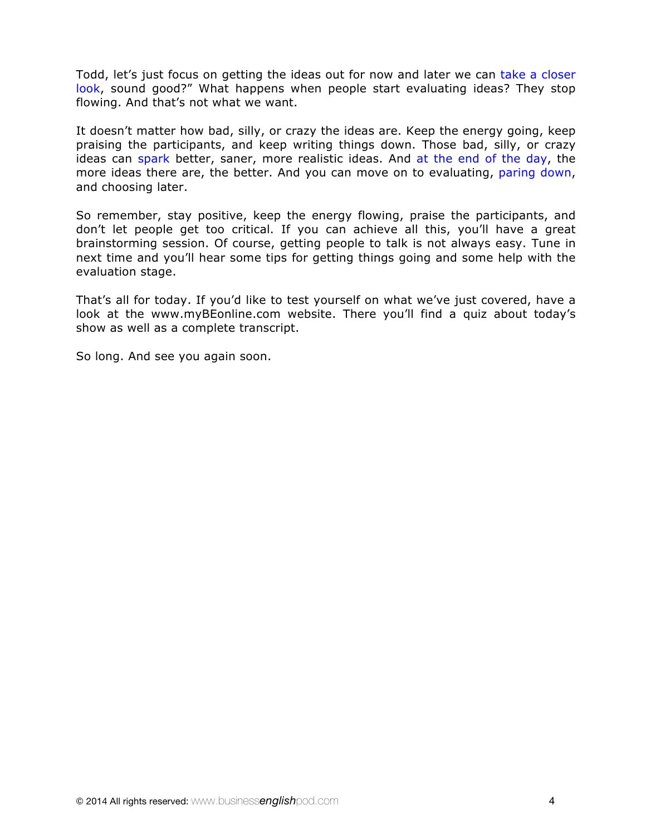Todd, let's just focus on getting the ideas out for now and later we can take a closer look, sound good?" What happens when people start evaluating ideas? They stop flowing. And that's not what we want.

It doesn't matter how bad, silly, or crazy the ideas are. Keep the energy going, keep praising the participants, and keep writing things down. Those bad, silly, or crazy ideas can spark better, saner, more realistic ideas. And at the end of the day, the more ideas there are, the better. And you can move on to evaluating, paring down, and choosing later.

So remember, stay positive, keep the energy flowing, praise the participants, and don't let people get too critical. If you can achieve all this, you'll have a great brainstorming session. Of course, getting people to talk is not always easy. Tune in next time and you'll hear some tips for getting things going and some help with the evaluation stage.

That's all for today. If you'd like to test yourself on what we've just covered, have a look at the [www.myBEonline.com](http://www.myBEonline.com) website. There you'll find a quiz about today's show as well as a complete transcript.

So long. And see you again soon.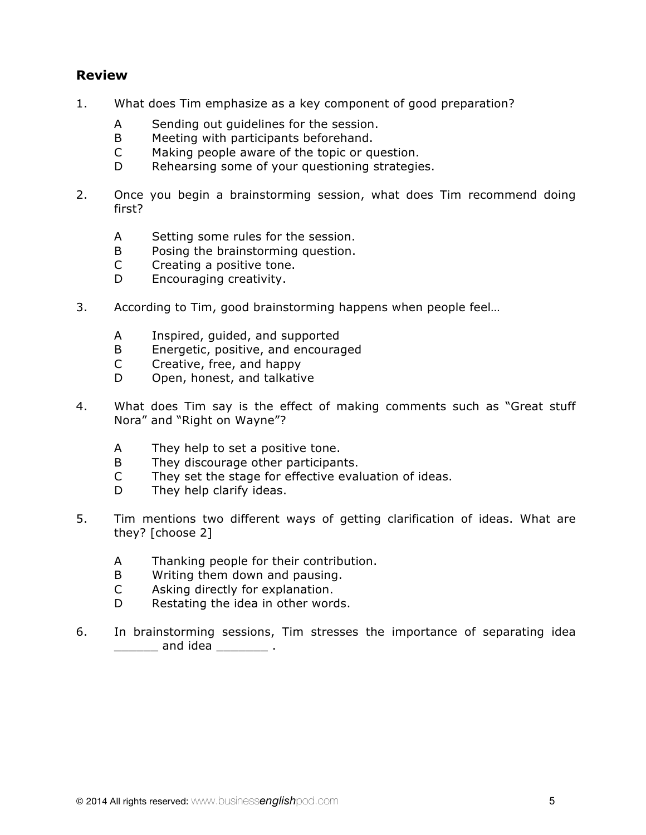# **Review**

- 1. What does Tim emphasize as a key component of good preparation?
	- A Sending out guidelines for the session.
	- B Meeting with participants beforehand.
	- C Making people aware of the topic or question.
	- D Rehearsing some of your questioning strategies.
- 2. Once you begin a brainstorming session, what does Tim recommend doing first?
	- A Setting some rules for the session.
	- B Posing the brainstorming question.
	- C Creating a positive tone.
	- D Encouraging creativity.
- 3. According to Tim, good brainstorming happens when people feel…
	- A Inspired, guided, and supported
	- B Energetic, positive, and encouraged
	- C Creative, free, and happy
	- D Open, honest, and talkative
- 4. What does Tim say is the effect of making comments such as "Great stuff Nora" and "Right on Wayne"?
	- A They help to set a positive tone.
	- B They discourage other participants.
	- C They set the stage for effective evaluation of ideas.
	- D They help clarify ideas.
- 5. Tim mentions two different ways of getting clarification of ideas. What are they? [choose 2]
	- A Thanking people for their contribution.
	- B Writing them down and pausing.
	- C Asking directly for explanation.
	- D Restating the idea in other words.
- 6. In brainstorming sessions, Tim stresses the importance of separating idea **\_\_\_\_\_\_** and idea \_\_\_\_\_\_\_\_\_ .